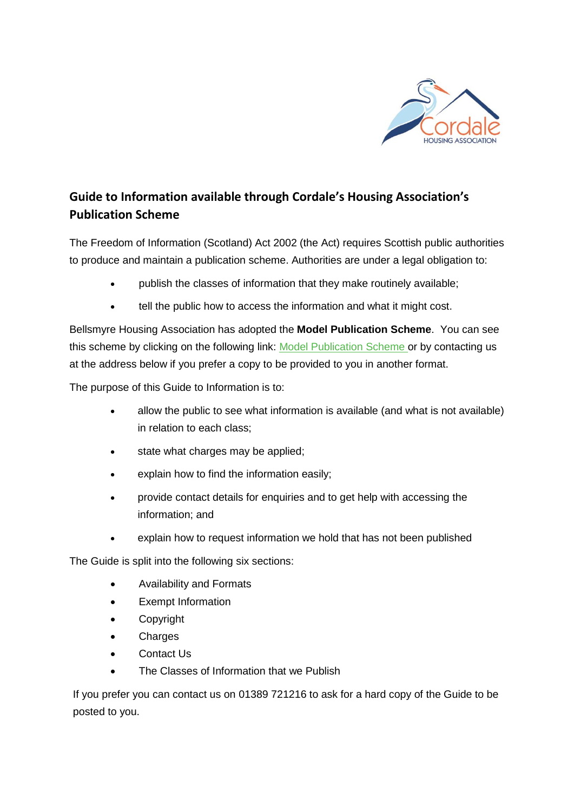

## **Guide to Information available through Cordale's Housing Association's Publication Scheme**

The Freedom of Information (Scotland) Act 2002 (the Act) requires Scottish public authorities to produce and maintain a publication scheme. Authorities are under a legal obligation to:

- publish the classes of information that they make routinely available;
- tell the public how to access the information and what it might cost.

Bellsmyre Housing Association has adopted the **Model Publication Scheme**. You can see this scheme by clicking on the following link: [Model Publication Scheme](http://www.itspublicknowledge.info/ScottishPublicAuthorities/PublicationSchemes/TheModelPublicationScheme.aspx) or by contacting us at the address below if you prefer a copy to be provided to you in another format.

The purpose of this Guide to Information is to:

- allow the public to see what information is available (and what is not available) in relation to each class;
- state what charges may be applied;
- explain how to find the information easily;
- provide contact details for enquiries and to get help with accessing the information; and
- explain how to request information we hold that has not been published

The Guide is split into the following six sections:

- Availability and Formats
- Exempt Information
- Copyright
- Charges
- Contact Us
- The Classes of Information that we Publish

If you prefer you can contact us on 01389 721216 to ask for a hard copy of the Guide to be posted to you.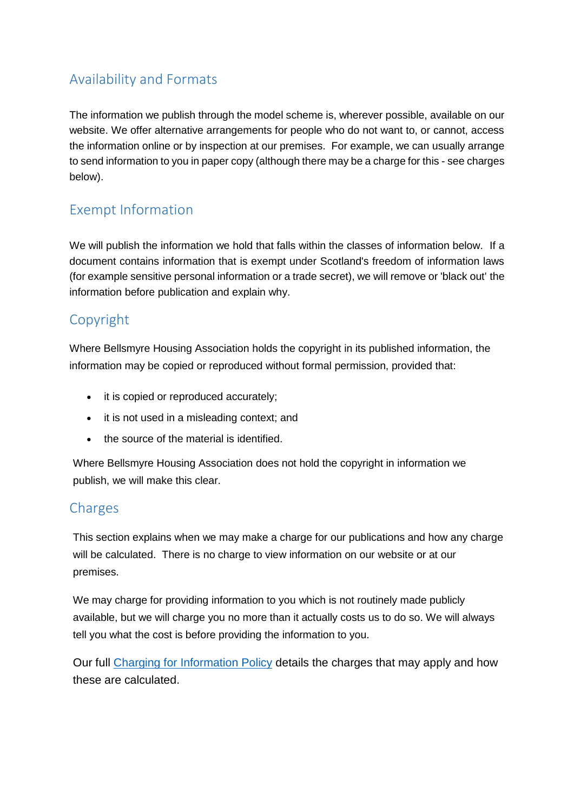# Availability and Formats

The information we publish through the model scheme is, wherever possible, available on our website. We offer alternative arrangements for people who do not want to, or cannot, access the information online or by inspection at our premises. For example, we can usually arrange to send information to you in paper copy (although there may be a charge for this - see charges below).

# Exempt Information

We will publish the information we hold that falls within the classes of information below. If a document contains information that is exempt under Scotland's freedom of information laws (for example sensitive personal information or a trade secret), we will remove or 'black out' the information before publication and explain why.

# Copyright

Where Bellsmyre Housing Association holds the copyright in its published information, the information may be copied or reproduced without formal permission, provided that:

- it is copied or reproduced accurately;
- it is not used in a misleading context; and
- the source of the material is identified.

Where Bellsmyre Housing Association does not hold the copyright in information we publish, we will make this clear.

## **Charges**

This section explains when we may make a charge for our publications and how any charge will be calculated. There is no charge to view information on our website or at our premises.

We may charge for providing information to you which is not routinely made publicly available, but we will charge you no more than it actually costs us to do so. We will always tell you what the cost is before providing the information to you.

Our full [Charging for Information Policy](https://www.caledoniaha.co.uk/cms/files/group_charging_for_information_policy_may2019.pdf) details the charges that may apply and how these are calculated.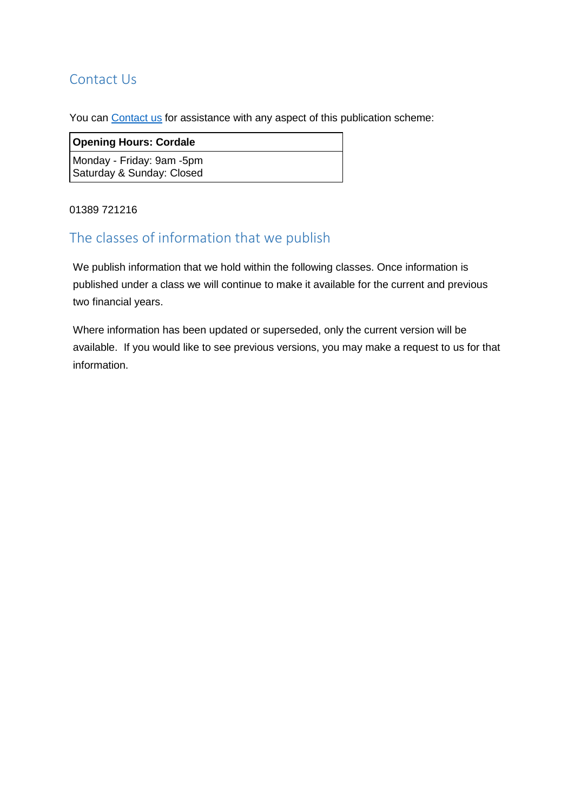## Contact Us

You can [Contact us](https://www.bellsmyrehousing.org.uk/225-ContactUs.html) for assistance with any aspect of this publication scheme:

### **Opening Hours: Cordale**

Monday - Friday: 9am -5pm Saturday & Sunday: Closed

### 01389 721216

## The classes of information that we publish

We publish information that we hold within the following classes. Once information is published under a class we will continue to make it available for the current and previous two financial years.

Where information has been updated or superseded, only the current version will be available. If you would like to see previous versions, you may make a request to us for that information.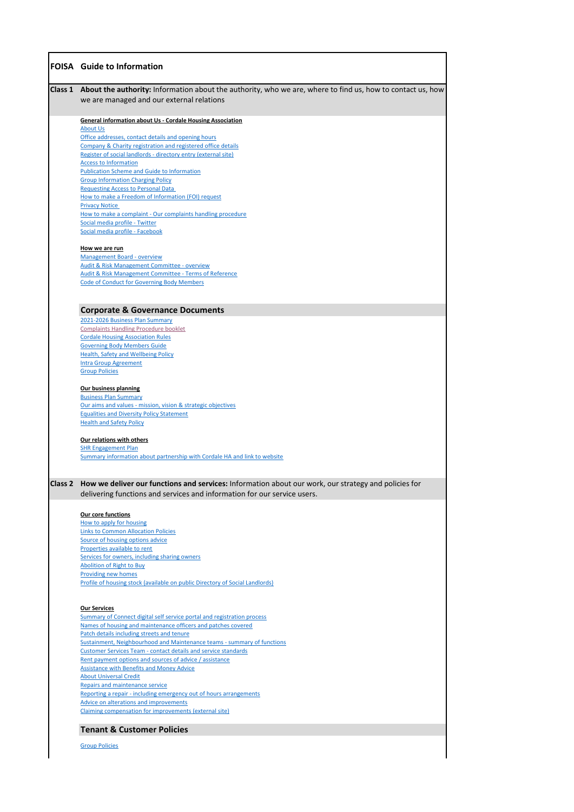|                | <b>FOISA</b> Guide to Information                                                                                                                                                                                                                                                                                                                                                                                                                                                                                                                                                                                                                                                                                                                                                                                                                                                                                 |
|----------------|-------------------------------------------------------------------------------------------------------------------------------------------------------------------------------------------------------------------------------------------------------------------------------------------------------------------------------------------------------------------------------------------------------------------------------------------------------------------------------------------------------------------------------------------------------------------------------------------------------------------------------------------------------------------------------------------------------------------------------------------------------------------------------------------------------------------------------------------------------------------------------------------------------------------|
| <b>Class 1</b> | About the authority: Information about the authority, who we are, where to find us, how to contact us, how<br>we are managed and our external relations                                                                                                                                                                                                                                                                                                                                                                                                                                                                                                                                                                                                                                                                                                                                                           |
|                | <b>General information about Us - Cordale Housing Association</b><br><b>About Us</b><br>Office addresses, contact details and opening hours<br>Company & Charity registration and registered office details<br>Register of social landlords - directory entry (external site)<br><b>Access to Information</b><br><b>Publication Scheme and Guide to Information</b><br><b>Group Information Charging Policy</b><br><b>Requesting Access to Personal Data</b><br>How to make a Freedom of Information (FOI) request<br><b>Privacy Notice</b><br>How to make a complaint - Our complaints handling procedure<br>Social media profile - Twitter<br>Social media profile - Facebook<br>How we are run<br><b>Management Board - overview</b><br>Audit & Risk Management Committee - overview<br><b>Audit &amp; Risk Management Committee - Terms of Reference</b><br><b>Code of Conduct for Governing Body Members</b> |
|                | <b>Corporate &amp; Governance Documents</b>                                                                                                                                                                                                                                                                                                                                                                                                                                                                                                                                                                                                                                                                                                                                                                                                                                                                       |
|                | 2021-2026 Business Plan Summary<br><b>Complaints Handling Procedure booklet</b><br><b>Cordale Housing Association Rules</b><br><b>Governing Body Members Guide</b><br><b>Health, Safety and Wellbeing Policy</b><br><b>Intra Group Agreement</b><br><b>Group Policies</b><br><b>Our business planning</b><br><b>Business Plan Summary</b><br>Our aims and values - mission, vision & strategic objectives<br><b>Equalities and Diversity Policy Statement</b><br><b>Health and Safety Policy</b><br>Our relations with others<br><b>SHR Engagement Plan</b><br>Summary information about partnership with Cordale HA and link to website                                                                                                                                                                                                                                                                          |
|                |                                                                                                                                                                                                                                                                                                                                                                                                                                                                                                                                                                                                                                                                                                                                                                                                                                                                                                                   |
| <b>Class 2</b> | How we deliver our functions and services: Information about our work, our strategy and policies for<br>delivering functions and services and information for our service users.                                                                                                                                                                                                                                                                                                                                                                                                                                                                                                                                                                                                                                                                                                                                  |
|                | <b>Our core functions</b>                                                                                                                                                                                                                                                                                                                                                                                                                                                                                                                                                                                                                                                                                                                                                                                                                                                                                         |

[How to apply for housing](http://www.cordalehousing.org.uk/137_ApplyingforaHouse.html)

[Links to Common Allocation Policies](http://www.cordalehousing.org.uk/287_TenantCustomerPolicies.html) [Source of housing options advice](http://www.cordalehousing.org.uk/137_ApplyingforaHouse.html) [Properties available to rent](http://www.cordalehousing.org.uk/137_ApplyingforaHouse.html) [Services for owners, including sharing owners](http://www.cordalehousing.org.uk/142_Owners.html) [Abolition of Right to Buy](https://www.caledoniaha.co.uk/165_RighttoBuyOwners.html) [Providing new homes](http://www.cordalehousing.org.uk/143_NewHomes.html) [Profile of housing stock \(available on public Directory of Social Landlords\)](https://directory.scottishhousingregulator.gov.uk/pages/landlord.aspx?LAtoZNameQS=A0E83758-CFA9-E311-93F1-005056B555E6)

#### **Our Services**

[Summary of Connect digital self service portal and registration process](https://www.caledoniaha.co.uk/367_ConnectYourDigitalSelfServicePortal.html) [Names of housing and maintenance officers and patches covered](http://www.cordalehousing.org.uk/138_Tenants.htmlhttp:/www.cordalehousing.org.uk/138_Tenants.html) [Patch details including streets and tenure](http://www.cordalehousing.org.uk/138_Tenants.htmlhttp:/www.cordalehousing.org.uk/138_Tenants.html) [Sustainment, Neighbourhood and Maintenance teams - summary of functions](http://www.cordalehousing.org.uk/138_Tenants.html) [Customer Services Team - contact details and service standards](http://www.cordalehousing.org.uk/205_CustomerServices.html) [Rent payment options and sources of advice / assistance](http://www.cordalehousing.org.uk/188_WaystoPayYourRent.html) [Assistance with Benefits and Money Advice](http://www.cordalehousing.org.uk/189_BenefitsAdvice.html) [About Universal Credit](https://www.caledoniaha.co.uk/254_UniversalCredit.html) [Repairs and maintenance service](http://www.cordalehousing.org.uk/191_RepairsandMaintenance.html) [Reporting a repair - including emergency out of hours arrangements](http://www.cordalehousing.org.uk/140_Repairs.html) [Advice on alterations and improvements](http://www.cordalehousing.org.uk/194_AlterationsandImprovements.html) [Claiming compensation for improvements \(external site\)](http://www.scotland.gov.uk/Publications/2002/09/15486/11216)

### **Tenant & Customer Policies**

[Group Policies](https://www.caledoniaha.co.uk/287_TenantCustomerPolicies.html)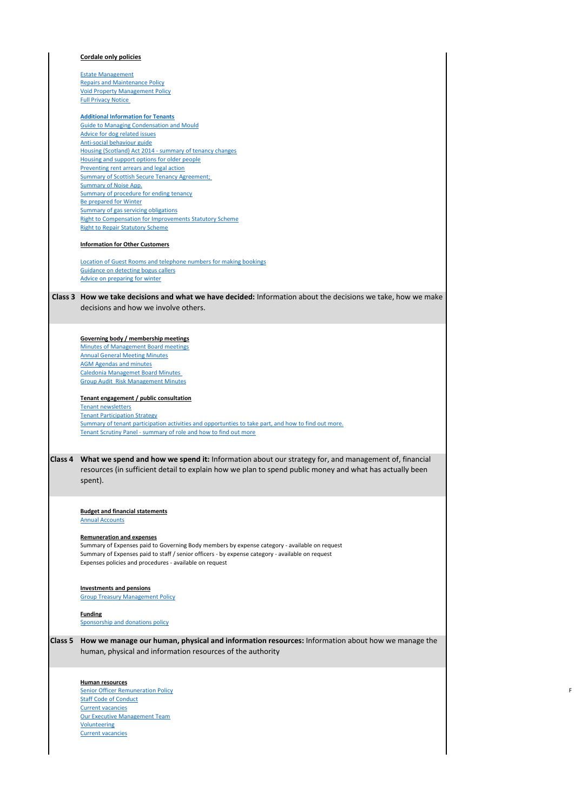#### **Cordale only policies**

[Estate Management](https://www.cordalehousing.org.uk/cms/files/estate_management_policy_cordale.pdf) [Repairs and Maintenance Policy](https://www.cordalehousing.org.uk/cms/files/repairs_and_maintenace_policy.pdf_1.pdf) [Void Property Management Policy](https://www.cordalehousing.org.uk/cms/files/void_policy_approved_2016_1_19.docx) [Full Privacy Notice](https://www.cordalehousing.org.uk/cms/files/cordale_ha_privacy_notice_-_finalised_240518_003.pdf) 

#### **[Additional Information for Tenants](https://www.caledoniaha.co.uk/294_InformationforTenants.html)**

[Guide to Managing Condensation and Mould](http://www.cordalehousing.org.uk/cms/files/cha_condensation_control.pdf) [Advice for dog related issues](http://www.cordalehousing.org.uk/312_Pets.html) [Anti-social behaviour guide](http://www.cordalehousing.org.uk/cms/files/cha_anti_social_bahaviour.pdf) [Housing \(Scotland\) Act 2014 - summary of tenancy changes](https://www.caledoniaha.co.uk/372_HousingScotlandAct2014-ChangestoyourTenancy.html) [Housing and support options for older people](http://www.cordalehousing.org.uk/303_ExtraCareHousing.html) [Preventing rent arrears and legal action](http://www.cordalehousing.org.uk/cms/files/cha_prevent_rent_arrears.pdf) [Summary of Scottish Secure Tenancy Agreement;](http://www.cordalehousing.org.uk/cms/files/cha_tenancy_agreement.pdf)  [Summary of Noise App.](https://www.caledoniaha.co.uk/cms/files/the_noise_app.pdf) [Summary of procedure for ending tenancy](http://www.cordalehousing.org.uk/271_EndingYourTenancyHelpUsHelpYou.html) [Be prepared for Winter](http://www.cordalehousing.org.uk/268_WinterInformation.html) [Summary of gas servicing obligations](http://www.cordalehousing.org.uk/180_GasServicing.html) [Right to Compensation for Improvements Statutory Scheme](https://www.caledoniaha.co.uk/cms/files/right_to_compensation_for_improvements.pdf) [Right to Repair Statutory Scheme](https://www.caledoniaha.co.uk/cms/files/right_to_repair.pdf)

#### **Information for Other Customers**

[Location of Guest Rooms and telephone numbers for making bookings](http://www.cordalehousing.org.uk/253_GuestRoomBooking.html) [Guidance on detecting bogus callers](http://www.cordalehousing.org.uk/196_Security---Bogus-Callers.html) [Advice on preparing for winter](http://www.cordalehousing.org.uk/268_WinterInformation.htmlhttp:/www.cordalehousing.org.uk/268_Winter-Information.html)

### **Class 3 How we take decisions and what we have decided:** Information about the decisions we take, how we make decisions and how we involve others.

#### **Governing body / membership meetings**

[Minutes of Management Board meetings](http://www.cordalehousing.org.uk/292_ManagementCommitteeMinutes.html) [Annual General Meeting Minutes](http://www.cordalehousing.org.uk/291_AnnualReportsandAnnualAccounts.html) [AGM Agendas and minutes](https://www.cordalehousing.org.uk/291_AnnualReportsandAnnualAccounts.html) [Caledonia Managemet Board Minutes](https://www.cordalehousing.org.uk/342_CaledoniaManagementBoardandGroupAuditRiskManagementCommitteeMinutes.html)  [Group Audit Risk Management Minutes](https://www.cordalehousing.org.uk/342_CaledoniaManagementBoardandGroupAuditRiskManagementCommitteeMinutes.html)

#### **Tenant engagement / public consultation**

[Tenant newsletters](http://www.cordalehousing.org.uk/288_TenantNewsletter.html) [Tenant Participation Strategy](https://www.caledoniaha.co.uk/cms/files/tenant_participation_strategy_2018.pdf) [Summary of tenant participation activities and opportunties to take part, and how to find out more.](https://www.caledoniaha.co.uk/339_TakePartTenantParticipation.html) [Tenant Scrutiny Panel - summary of role and how to find out more](http://www.cordalehousing.org.uk/260_TenantScrutinyPanel.html)

**Class 4 What we spend and how we spend it:** Information about our strategy for, and management of, financial resources (in sufficient detail to explain how we plan to spend public money and what has actually been spent).

**Budget and financial statements**

[Annual Accounts](http://www.cordalehousing.org.uk/291_AnnualReportsandAnnualAccounts.html)

|                | <b>Remuneration and expenses</b><br>Summary of Expenses paid to Governing Body members by expense category - available on request<br>Summary of Expenses paid to staff / senior officers - by expense category - available on request<br>Expenses policies and procedures - available on request |
|----------------|--------------------------------------------------------------------------------------------------------------------------------------------------------------------------------------------------------------------------------------------------------------------------------------------------|
|                | <b>Investments and pensions</b><br><b>Group Treasury Management Policy</b>                                                                                                                                                                                                                       |
|                | <b>Funding</b><br><b>Sponsorship and donations policy</b>                                                                                                                                                                                                                                        |
| <b>Class 5</b> | How we manage our human, physical and information resources: Information about how we manage the<br>human, physical and information resources of the authority                                                                                                                                   |
|                | <b>Human resources</b>                                                                                                                                                                                                                                                                           |
|                | <b>Senior Officer Remuneration Policy</b><br><b>Staff Code of Conduct</b><br><b>Current vacancies</b>                                                                                                                                                                                            |
|                | <b>Our Executive Management Team</b><br><b>Volunteering</b>                                                                                                                                                                                                                                      |
|                | <b>Current vacancies</b>                                                                                                                                                                                                                                                                         |